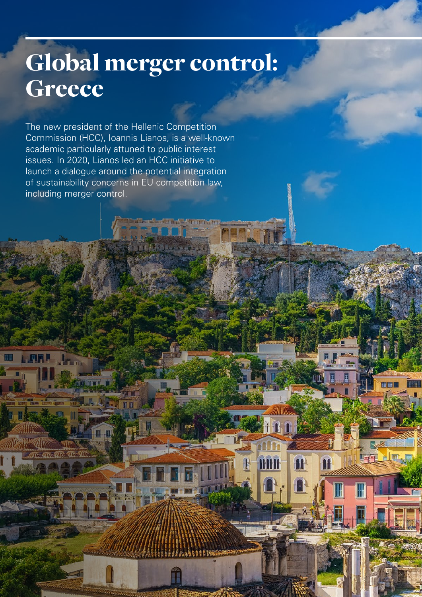## Global merger control: Greece

田田

I.

H

M

**MHI** 

The new president of the Hellenic Competition Commission (HCC), Ioannis Lianos, is a well-known academic particularly attuned to public interest issues. In 2020, Lianos led an HCC initiative to launch a dialogue around the potential integration of sustainability concerns in EU competition law, including merger control.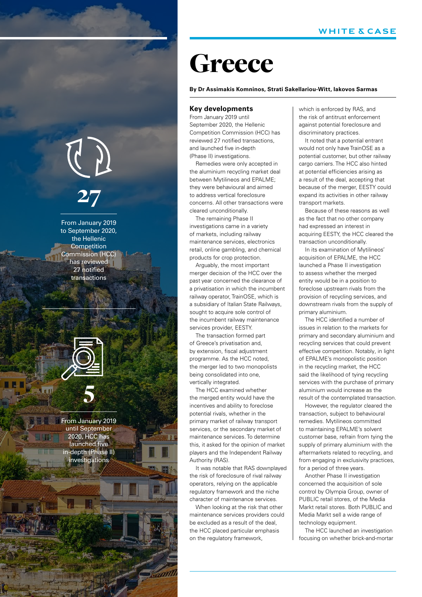# 27

From January 2019 to September 2020, the Hellenic Competition Commission (HCC) has reviewed 27 notified transactions



From January 2019 until September 2020, HCC has launched five in-depth (Phase II) investigations

### **Greece**

#### **By Dr Assimakis Komninos, Strati Sakellariou-Witt, Iakovos Sarmas**

#### **Key developments**

From January 2019 until September 2020, the Hellenic Competition Commission (HCC) has reviewed 27 notified transactions, and launched five in-depth (Phase II) investigations.

Remedies were only accepted in the aluminium recycling market deal between Mytilineos and EPALME; they were behavioural and aimed to address vertical foreclosure concerns. All other transactions were cleared unconditionally.

The remaining Phase II investigations came in a variety of markets, including railway maintenance services, electronics retail, online gambling, and chemical products for crop protection.

Arguably, the most important merger decision of the HCC over the past year concerned the clearance of a privatisation in which the incumbent railway operator, TrainOSE, which is a subsidiary of Italian State Railways, sought to acquire sole control of the incumbent railway maintenance services provider, EESTY.

The transaction formed part of Greece's privatisation and, by extension, fiscal adjustment programme. As the HCC noted, the merger led to two monopolists being consolidated into one, vertically integrated.

The HCC examined whether the merged entity would have the incentives and ability to foreclose potential rivals, whether in the primary market of railway transport services, or the secondary market of maintenance services. To determine this, it asked for the opinion of market players and the Independent Railway Authority (RAS).

It was notable that RAS downplayed the risk of foreclosure of rival railway operators, relying on the applicable regulatory framework and the niche character of maintenance services.

When looking at the risk that other maintenance services providers could be excluded as a result of the deal, the HCC placed particular emphasis on the regulatory framework,

**Cham** 

which is enforced by RAS, and the risk of antitrust enforcement against potential foreclosure and discriminatory practices.

It noted that a potential entrant would not only have TrainOSE as a potential customer, but other railway cargo carriers. The HCC also hinted at potential efficiencies arising as a result of the deal, accepting that because of the merger, EESTY could expand its activities in other railway transport markets.

Because of these reasons as well as the fact that no other company had expressed an interest in acquiring EESTY, the HCC cleared the transaction unconditionally.

In its examination of Mytilineos' acquisition of EPALME, the HCC launched a Phase II investigation to assess whether the merged entity would be in a position to foreclose upstream rivals from the provision of recycling services, and downstream rivals from the supply of primary aluminium.

The HCC identified a number of issues in relation to the markets for primary and secondary aluminium and recycling services that could prevent effective competition. Notably, in light of EPALME's monopolistic position in the recycling market, the HCC said the likelihood of tying recycling services with the purchase of primary aluminium would increase as the result of the contemplated transaction.

However, the regulator cleared the transaction, subject to behavioural remedies. Mytilineos committed to maintaining EPALME's solvent customer base, refrain from tying the supply of primary aluminium with the aftermarkets related to recycling, and from engaging in exclusivity practices, for a period of three years.

Another Phase II investigation concerned the acquisition of sole control by Olympia Group, owner of PUBLIC retail stores, of the Media Markt retail stores. Both PUBLIC and Media Markt sell a wide range of technology equipment.

The HCC launched an investigation focusing on whether brick-and-mortar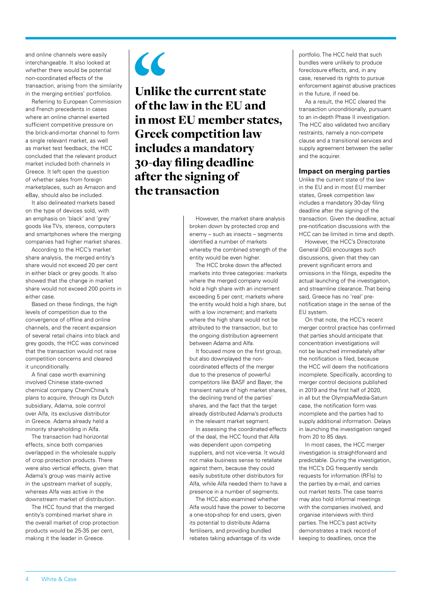and online channels were easily interchangeable. It also looked at whether there would be potential non-coordinated effects of the transaction, arising from the similarity in the merging entities' portfolios.

Referring to European Commission and French precedents in cases where an online channel exerted sufficient competitive pressure on the brick-and-mortar channel to form a single relevant market, as well as market test feedback, the HCC concluded that the relevant product market included both channels in Greece. It left open the question of whether sales from foreign marketplaces, such as Amazon and eBay, should also be included.

It also delineated markets based on the type of devices sold, with an emphasis on 'black' and 'grey' goods like TVs, stereos, computers and smartphones where the merging companies had higher market shares.

According to the HCC's market share analysis, the merged entity's share would not exceed 20 per cent in either black or grey goods. It also showed that the change in market share would not exceed 200 points in either case.

Based on these findings, the high levels of competition due to the convergence of offline and online channels, and the recent expansion of several retail chains into black and grey goods, the HCC was convinced that the transaction would not raise competition concerns and cleared it unconditionally.

A final case worth examining involved Chinese state-owned chemical company ChemChina's plans to acquire, through its Dutch subsidiary, Adama, sole control over Alfa, its exclusive distributor in Greece. Adama already held a minority shareholding in Alfa.

The transaction had horizontal effects, since both companies overlapped in the wholesale supply of crop protection products. There were also vertical effects, given that Adama's group was mainly active in the upstream market of supply, whereas Alfa was active in the downstream market of distribution.

The HCC found that the merged entity's combined market share in the overall market of crop protection products would be 25-35 per cent, making it the leader in Greece.



Unlike the current state of the law in the EU and in most EU member states, Greek competition law includes a mandatory 30-day filing deadline after the signing of the transaction

> However, the market share analysis broken down by protected crop and enemy – such as insects – segments identified a number of markets whereby the combined strength of the entity would be even higher.

> The HCC broke down the affected markets into three categories: markets where the merged company would hold a high share with an increment exceeding 5 per cent; markets where the entity would hold a high share, but with a low increment; and markets where the high share would not be attributed to the transaction, but to the ongoing distribution agreement between Adama and Alfa.

> It focused more on the first group, but also downplayed the noncoordinated effects of the merger due to the presence of powerful competitors like BASF and Bayer, the transient nature of high market shares, the declining trend of the parties' shares, and the fact that the target already distributed Adama's products in the relevant market segment.

In assessing the coordinated effects of the deal, the HCC found that Alfa was dependent upon competing suppliers, and not vice-versa. It would not make business sense to retaliate against them, because they could easily substitute other distributors for Alfa, while Alfa needed them to have a presence in a number of segments.

The HCC also examined whether Alfa would have the power to become a one-stop-shop for end users, given its potential to distribute Adama fertilisers, and providing bundled rebates taking advantage of its wide

portfolio. The HCC held that such bundles were unlikely to produce foreclosure effects, and, in any case, reserved its rights to pursue enforcement against abusive practices in the future, if need be.

As a result, the HCC cleared the transaction unconditionally, pursuant to an in-depth Phase II investigation. The HCC also validated two ancillary restraints, namely a non-compete clause and a transitional services and supply agreement between the seller and the acquirer.

#### **Impact on merging parties**

Unlike the current state of the law in the EU and in most EU member states, Greek competition law includes a mandatory 30-day filing deadline after the signing of the transaction. Given the deadline, actual pre-notification discussions with the HCC can be limited in time and depth.

However, the HCC's Directorate General (DG) encourages such discussions, given that they can prevent significant errors and omissions in the filings, expedite the actual launching of the investigation, and streamline clearance. That being said, Greece has no 'real' prenotification stage in the sense of the EU system.

On that note, the HCC's recent merger control practice has confirmed that parties should anticipate that concentration investigations will not be launched immediately after the notification is filed, because the HCC will deem the notifications incomplete. Specifically, according to merger control decisions published in 2019 and the first half of 2020, in all but the Olympia/Media-Saturn case, the notification form was incomplete and the parties had to supply additional information. Delays in launching the investigation ranged from 20 to 85 days.

In most cases, the HCC merger investigation is straightforward and predictable. During the investigation, the HCC's DG frequently sends requests for information (RFIs) to the parties by e-mail, and carries out market tests. The case teams may also hold informal meetings with the companies involved, and organise interviews with third parties. The HCC's past activity demonstrates a track record of keeping to deadlines, once the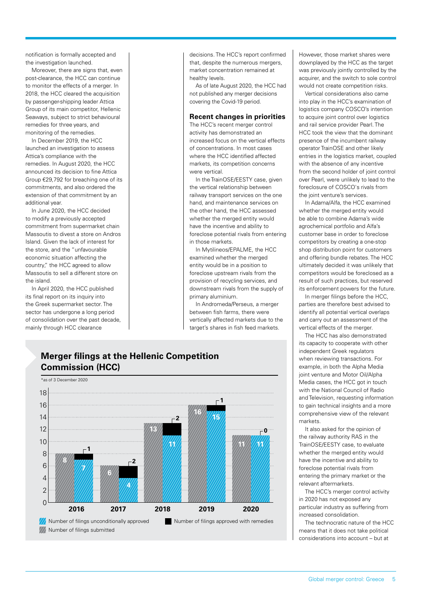notification is formally accepted and the investigation launched.

Moreover, there are signs that, even post-clearance, the HCC can continue to monitor the effects of a merger. In 2018, the HCC cleared the acquisition by passenger-shipping leader Attica Group of its main competitor, Hellenic Seaways, subject to strict behavioural remedies for three years, and monitoring of the remedies.

In December 2019, the HCC launched an investigation to assess Attica's compliance with the remedies. In August 2020, the HCC announced its decision to fine Attica Group €29,792 for breaching one of its commitments, and also ordered the extension of that commitment by an additional year.

In June 2020, the HCC decided to modify a previously accepted commitment from supermarket chain Massoutis to divest a store on Andros Island. Given the lack of interest for the store, and the "unfavourable economic situation affecting the country," the HCC agreed to allow Massoutis to sell a different store on the island.

In April 2020, the HCC published its final report on its inquiry into the Greek supermarket sector. The sector has undergone a long period of consolidation over the past decade, mainly through HCC clearance

decisions. The HCC's report confirmed that, despite the numerous mergers market concentration remained at healthy levels.

As of late August 2020, the HCC had not published any merger decisions covering the Covid-19 period.

#### **Recent changes in priorities**

The HCC's recent merger control activity has demonstrated an increased focus on the vertical effects of concentrations. In most cases where the HCC identified affected markets, its competition concerns were vertical.

In the TrainOSE/EESTY case, given the vertical relationship between railway transport services on the one hand, and maintenance services on the other hand, the HCC assessed whether the merged entity would have the incentive and ability to foreclose potential rivals from entering in those markets.

In Mytilineos/EPALME, the HCC examined whether the merged entity would be in a position to foreclose upstream rivals from the provision of recycling services, and downstream rivals from the supply of primary aluminium.

In Andromeda/Perseus, a merger between fish farms, there were vertically affected markets due to the target's shares in fish feed markets.

However, those market shares were downplayed by the HCC as the target was previously jointly controlled by the acquirer, and the switch to sole control would not create competition risks.

Vertical considerations also came into play in the HCC's examination of logistics company COSCO's intention to acquire joint control over logistics and rail service provider Pearl. The HCC took the view that the dominant presence of the incumbent railway operator TrainOSE and other likely entries in the logistics market, coupled with the absence of any incentive from the second holder of joint control over Pearl, were unlikely to lead to the foreclosure of COSCO's rivals from the joint venture's services.

In Adama/Alfa, the HCC examined whether the merged entity would be able to combine Adama's wide agrochemical portfolio and Alfa's customer base in order to foreclose competitors by creating a one-stop shop distribution point for customers and offering bundle rebates. The HCC ultimately decided it was unlikely that competitors would be foreclosed as a result of such practices, but reserved its enforcement powers for the future.

In merger filings before the HCC, parties are therefore best advised to identify all potential vertical overlaps and carry out an assessment of the vertical effects of the merger.

The HCC has also demonstrated its capacity to cooperate with other independent Greek regulators when reviewing transactions. For example, in both the Alpha Media joint venture and Motor Oil/Alpha Media cases, the HCC got in touch with the National Council of Radio and Television, requesting information to gain technical insights and a more comprehensive view of the relevant markets.

It also asked for the opinion of the railway authority RAS in the TrainOSE/EESTY case, to evaluate whether the merged entity would have the incentive and ability to foreclose potential rivals from entering the primary market or the relevant aftermarkets.

The HCC's merger control activity in 2020 has not exposed any particular industry as suffering from increased consolidation.

The technocratic nature of the HCC means that it does not take political considerations into account – but at

#### **Merger filings at the Hellenic Competition Commission (HCC)** \*as of 3 December 2020

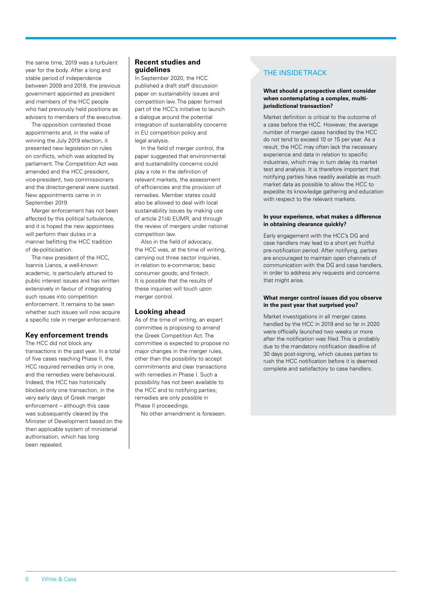the same time, 2019 was a turbulent year for the body. After a long and stable period of independence between 2009 and 2018, the previous government appointed as president and members of the HCC people who had previously held positions as advisers to members of the executive.

The opposition contested those appointments and, in the wake of winning the July 2019 election, it presented new legislation on rules on conflicts, which was adopted by parliament. The Competition Act was amended and the HCC president, vice-president, two commissioners and the director-general were ousted. New appointments came in in September 2019.

Merger enforcement has not been affected by this political turbulence, and it is hoped the new appointees will perform their duties in a manner befitting the HCC tradition of de-politicisation.

The new president of the HCC, Ioannis Lianos, a well-known academic, is particularly attuned to public interest issues and has written extensively in favour of integrating such issues into competition enforcement. It remains to be seen whether such issues will now acquire a specific role in merger enforcement.

#### **Key enforcement trends**

The HCC did not block any transactions in the past year. In a total of five cases reaching Phase II, the HCC required remedies only in one, and the remedies were behavioural. Indeed, the HCC has historically blocked only one transaction, in the very early days of Greek merger enforcement – although this case was subsequently cleared by the Minister of Development based on the then applicable system of ministerial authorisation, which has long been repealed.

#### **Recent studies and guidelines**

In September 2020, the HCC published a draft staff discussion paper on sustainability issues and competition law. The paper formed part of the HCC's initiative to launch a dialogue around the potential integration of sustainability concerns in EU competition policy and legal analysis.

In the field of merger control, the paper suggested that environmental and sustainability concerns could play a role in the definition of relevant markets, the assessment of efficiencies and the provision of remedies. Member states could also be allowed to deal with local sustainability issues by making use of article 21(4) EUMR, and through the review of mergers under national competition law.

Also in the field of advocacy, the HCC was, at the time of writing, carrying out three sector inquiries, in relation to e-commerce; basic consumer goods; and fintech. It is possible that the results of these inquiries will touch upon merger control.

#### **Looking ahead**

As of the time of writing, an expert committee is proposing to amend the Greek Competition Act. The committee is expected to propose no major changes in the merger rules, other than the possibility to accept commitments and clear transactions with remedies in Phase I. Such a possibility has not been available to the HCC and to notifying parties; remedies are only possible in Phase II proceedings.

No other amendment is foreseen.

#### THE INSIDE TRACK

#### **What should a prospective client consider when contemplating a complex, multijurisdictional transaction?**

Market definition is critical to the outcome of a case before the HCC. However, the average number of merger cases handled by the HCC do not tend to exceed 10 or 15 per year. As a result, the HCC may often lack the necessary experience and data in relation to specific industries, which may in turn delay its market test and analysis. It is therefore important that notifying parties have readily available as much market data as possible to allow the HCC to expedite its knowledge gathering and education with respect to the relevant markets.

#### **In your experience, what makes a difference in obtaining clearance quickly?**

Early engagement with the HCC's DG and case handlers may lead to a short yet fruitful pre-notification period. After notifying, parties are encouraged to maintain open channels of communication with the DG and case handlers, in order to address any requests and concerns that might arise.

#### **What merger control issues did you observe in the past year that surprised you?**

Market investigations in all merger cases handled by the HCC in 2019 and so far in 2020 were officially launched two weeks or more after the notification was filed. This is probably due to the mandatory notification deadline of 30 days post-signing, which causes parties to rush the HCC notification before it is deemed complete and satisfactory to case handlers.